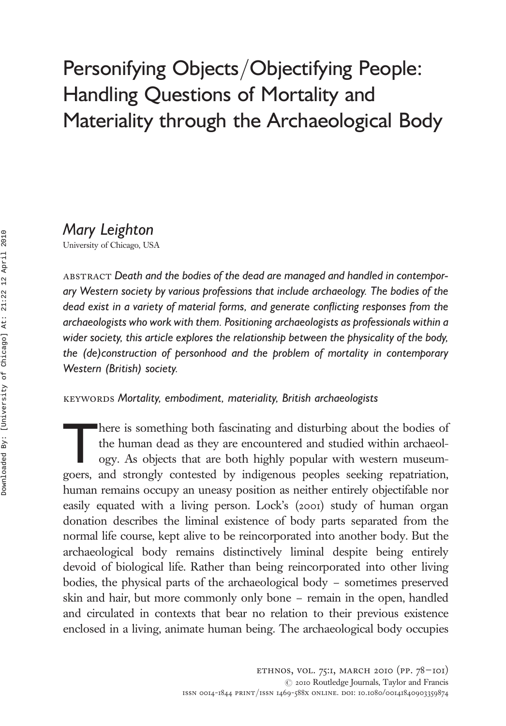# Personifying Objects/Objectifying People: Handling Questions of Mortality and Materiality through the Archaeological Body

Mary Leighton

University of Chicago, USA

ABSTRACT Death and the bodies of the dead are managed and handled in contemporary Western society by various professions that include archaeology. The bodies of the dead exist in a variety of material forms, and generate conflicting responses from the archaeologists who work with them. Positioning archaeologists as professionals within a wider society, this article explores the relationship between the physicality of the body, the (de)construction of personhood and the problem of mortality in contemporary Western (British) society.

keywords Mortality, embodiment, materiality, British archaeologists

There is something both fascinating and disturbing about the bodies of<br>the human dead as they are encountered and studied within archaeol-<br>ogy. As objects that are both highly popular with western museum-<br>opers and strongl the human dead as they are encountered and studied within archaeology. As objects that are both highly popular with western museumgoers, and strongly contested by indigenous peoples seeking repatriation, human remains occupy an uneasy position as neither entirely objectifable nor easily equated with a living person. Lock's (2001) study of human organ donation describes the liminal existence of body parts separated from the normal life course, kept alive to be reincorporated into another body. But the archaeological body remains distinctively liminal despite being entirely devoid of biological life. Rather than being reincorporated into other living bodies, the physical parts of the archaeological body – sometimes preserved skin and hair, but more commonly only bone – remain in the open, handled and circulated in contexts that bear no relation to their previous existence enclosed in a living, animate human being. The archaeological body occupies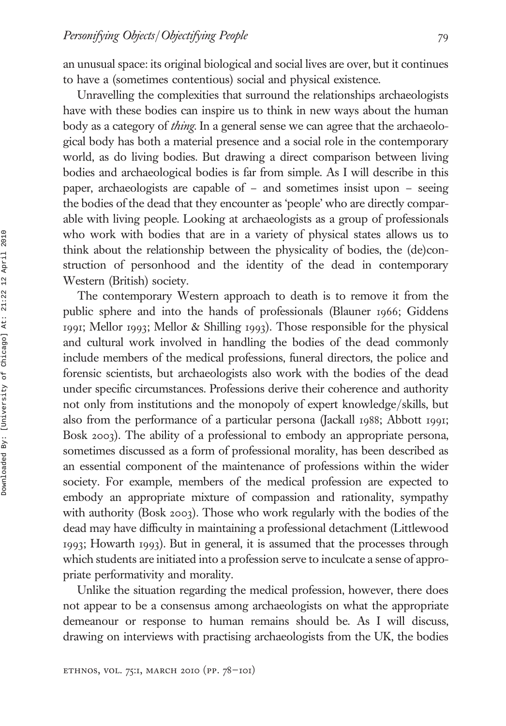an unusual space: its original biological and social lives are over, but it continues to have a (sometimes contentious) social and physical existence.

Unravelling the complexities that surround the relationships archaeologists have with these bodies can inspire us to think in new ways about the human body as a category of *thing*. In a general sense we can agree that the archaeological body has both a material presence and a social role in the contemporary world, as do living bodies. But drawing a direct comparison between living bodies and archaeological bodies is far from simple. As I will describe in this paper, archaeologists are capable of – and sometimes insist upon – seeing the bodies of the dead that they encounter as 'people' who are directly comparable with living people. Looking at archaeologists as a group of professionals who work with bodies that are in a variety of physical states allows us to think about the relationship between the physicality of bodies, the (de)construction of personhood and the identity of the dead in contemporary Western (British) society.

The contemporary Western approach to death is to remove it from the public sphere and into the hands of professionals (Blauner 1966; Giddens 1991; Mellor 1993; Mellor & Shilling 1993). Those responsible for the physical and cultural work involved in handling the bodies of the dead commonly include members of the medical professions, funeral directors, the police and forensic scientists, but archaeologists also work with the bodies of the dead under specific circumstances. Professions derive their coherence and authority not only from institutions and the monopoly of expert knowledge/skills, but also from the performance of a particular persona (Jackall 1988; Abbott 1991; Bosk 2003). The ability of a professional to embody an appropriate persona, sometimes discussed as a form of professional morality, has been described as an essential component of the maintenance of professions within the wider society. For example, members of the medical profession are expected to embody an appropriate mixture of compassion and rationality, sympathy with authority (Bosk 2003). Those who work regularly with the bodies of the dead may have difficulty in maintaining a professional detachment (Littlewood 1993; Howarth 1993). But in general, it is assumed that the processes through which students are initiated into a profession serve to inculcate a sense of appropriate performativity and morality.

Unlike the situation regarding the medical profession, however, there does not appear to be a consensus among archaeologists on what the appropriate demeanour or response to human remains should be. As I will discuss, drawing on interviews with practising archaeologists from the UK, the bodies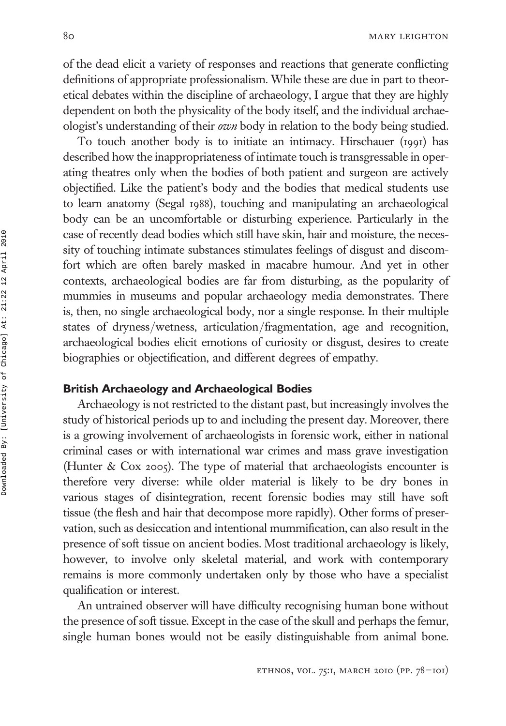80 mary leight of the matrix of the matrix of the matrix  $\mathbf{M}$  matrix  $\mathbf{M}$  matrix  $\mathbf{M}$  matrix  $\mathbf{M}$  matrix  $\mathbf{M}$  matrix  $\mathbf{M}$  matrix  $\mathbf{M}$  matrix  $\mathbf{M}$  matrix  $\mathbf{M}$  matrix  $\mathbf{M}$  matrix  $\mathbf{$ 

of the dead elicit a variety of responses and reactions that generate conflicting definitions of appropriate professionalism. While these are due in part to theoretical debates within the discipline of archaeology, I argue that they are highly dependent on both the physicality of the body itself, and the individual archaeologist's understanding of their *own* body in relation to the body being studied.

To touch another body is to initiate an intimacy. Hirschauer (1991) has described how the inappropriateness of intimate touch is transgressable in operating theatres only when the bodies of both patient and surgeon are actively objectified. Like the patient's body and the bodies that medical students use to learn anatomy (Segal 1988), touching and manipulating an archaeological body can be an uncomfortable or disturbing experience. Particularly in the case of recently dead bodies which still have skin, hair and moisture, the necessity of touching intimate substances stimulates feelings of disgust and discomfort which are often barely masked in macabre humour. And yet in other contexts, archaeological bodies are far from disturbing, as the popularity of mummies in museums and popular archaeology media demonstrates. There is, then, no single archaeological body, nor a single response. In their multiple states of dryness/wetness, articulation/fragmentation, age and recognition, archaeological bodies elicit emotions of curiosity or disgust, desires to create biographies or objectification, and different degrees of empathy.

### British Archaeology and Archaeological Bodies

Archaeology is not restricted to the distant past, but increasingly involves the study of historical periods up to and including the present day. Moreover, there is a growing involvement of archaeologists in forensic work, either in national criminal cases or with international war crimes and mass grave investigation (Hunter & Cox 2005). The type of material that archaeologists encounter is therefore very diverse: while older material is likely to be dry bones in various stages of disintegration, recent forensic bodies may still have soft tissue (the flesh and hair that decompose more rapidly). Other forms of preservation, such as desiccation and intentional mummification, can also result in the presence of soft tissue on ancient bodies. Most traditional archaeology is likely, however, to involve only skeletal material, and work with contemporary remains is more commonly undertaken only by those who have a specialist qualification or interest.

An untrained observer will have difficulty recognising human bone without the presence of soft tissue. Except in the case of the skull and perhaps the femur, single human bones would not be easily distinguishable from animal bone.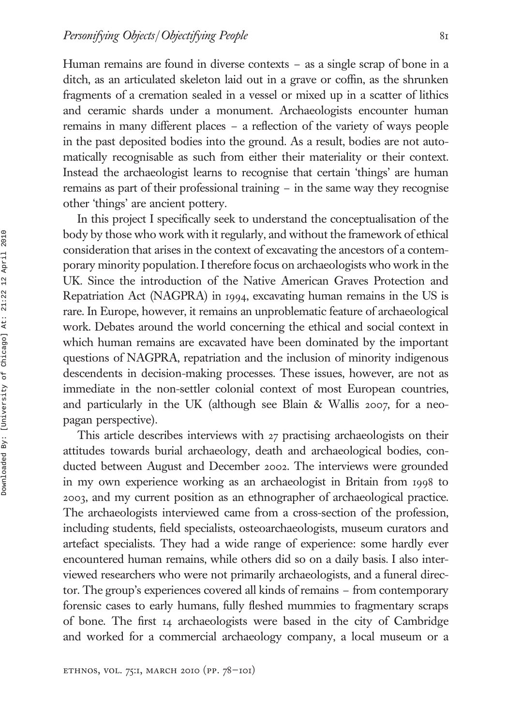Human remains are found in diverse contexts – as a single scrap of bone in a ditch, as an articulated skeleton laid out in a grave or coffin, as the shrunken fragments of a cremation sealed in a vessel or mixed up in a scatter of lithics and ceramic shards under a monument. Archaeologists encounter human remains in many different places – a reflection of the variety of ways people in the past deposited bodies into the ground. As a result, bodies are not automatically recognisable as such from either their materiality or their context. Instead the archaeologist learns to recognise that certain 'things' are human remains as part of their professional training – in the same way they recognise other 'things' are ancient pottery.

In this project I specifically seek to understand the conceptualisation of the body by those who work with it regularly, and without the framework of ethical consideration that arises in the context of excavating the ancestors of a contemporary minority population. I therefore focus on archaeologists who work in the UK. Since the introduction of the Native American Graves Protection and Repatriation Act (NAGPRA) in 1994, excavating human remains in the US is rare. In Europe, however, it remains an unproblematic feature of archaeological work. Debates around the world concerning the ethical and social context in which human remains are excavated have been dominated by the important questions of NAGPRA, repatriation and the inclusion of minority indigenous descendents in decision-making processes. These issues, however, are not as immediate in the non-settler colonial context of most European countries, and particularly in the UK (although see Blain  $\&$  Wallis 2007, for a neopagan perspective).

This article describes interviews with 27 practising archaeologists on their attitudes towards burial archaeology, death and archaeological bodies, conducted between August and December 2002. The interviews were grounded in my own experience working as an archaeologist in Britain from 1998 to 2003, and my current position as an ethnographer of archaeological practice. The archaeologists interviewed came from a cross-section of the profession, including students, field specialists, osteoarchaeologists, museum curators and artefact specialists. They had a wide range of experience: some hardly ever encountered human remains, while others did so on a daily basis. I also interviewed researchers who were not primarily archaeologists, and a funeral director. The group's experiences covered all kinds of remains – from contemporary forensic cases to early humans, fully fleshed mummies to fragmentary scraps of bone. The first 14 archaeologists were based in the city of Cambridge and worked for a commercial archaeology company, a local museum or a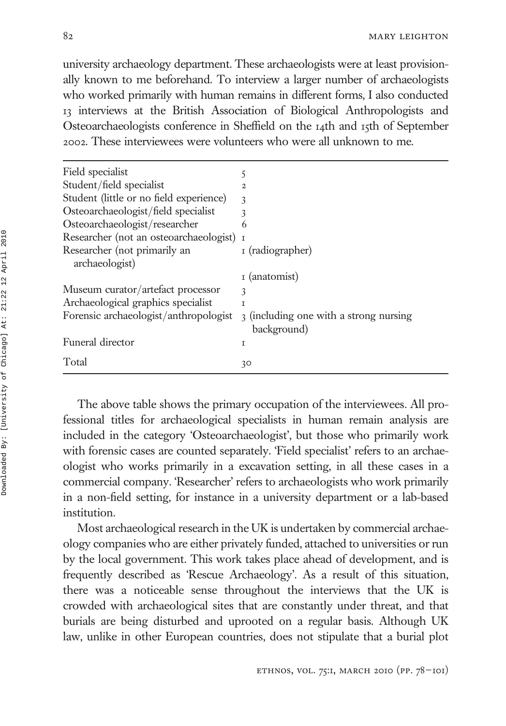university archaeology department. These archaeologists were at least provisionally known to me beforehand. To interview a larger number of archaeologists who worked primarily with human remains in different forms, I also conducted 13 interviews at the British Association of Biological Anthropologists and Osteoarchaeologists conference in Sheffield on the 14th and 15th of September 2002. These interviewees were volunteers who were all unknown to me.

| Field specialist                               | 5                                                     |
|------------------------------------------------|-------------------------------------------------------|
| Student/field specialist                       | 2                                                     |
| Student (little or no field experience)        | 3                                                     |
| Osteoarchaeologist/field specialist            | 3                                                     |
| Osteoarchaeologist/researcher                  | 6                                                     |
| Researcher (not an osteoarchaeologist) 1       |                                                       |
| Researcher (not primarily an<br>archaeologist) | I (radiographer)                                      |
|                                                | I (anatomist)                                         |
| Museum curator/artefact processor              | 3                                                     |
| Archaeological graphics specialist             | T                                                     |
| Forensic archaeologist/anthropologist          | 3 (including one with a strong nursing<br>background) |
| Funeral director                               | T                                                     |
| Total                                          | 30                                                    |

The above table shows the primary occupation of the interviewees. All professional titles for archaeological specialists in human remain analysis are included in the category 'Osteoarchaeologist', but those who primarily work with forensic cases are counted separately. 'Field specialist' refers to an archaeologist who works primarily in a excavation setting, in all these cases in a commercial company. 'Researcher' refers to archaeologists who work primarily in a non-field setting, for instance in a university department or a lab-based institution.

Most archaeological research in the UK is undertaken by commercial archaeology companies who are either privately funded, attached to universities or run by the local government. This work takes place ahead of development, and is frequently described as 'Rescue Archaeology'. As a result of this situation, there was a noticeable sense throughout the interviews that the UK is crowded with archaeological sites that are constantly under threat, and that burials are being disturbed and uprooted on a regular basis. Although UK law, unlike in other European countries, does not stipulate that a burial plot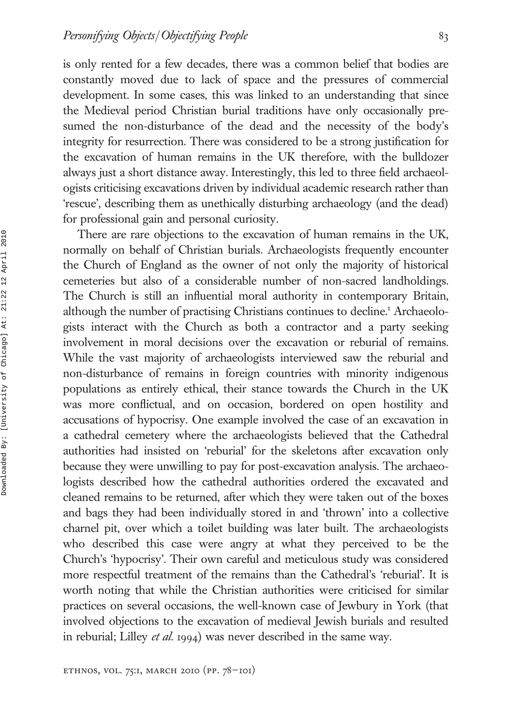is only rented for a few decades, there was a common belief that bodies are constantly moved due to lack of space and the pressures of commercial development. In some cases, this was linked to an understanding that since the Medieval period Christian burial traditions have only occasionally presumed the non-disturbance of the dead and the necessity of the body's integrity for resurrection. There was considered to be a strong justification for the excavation of human remains in the UK therefore, with the bulldozer always just a short distance away. Interestingly, this led to three field archaeologists criticising excavations driven by individual academic research rather than 'rescue', describing them as unethically disturbing archaeology (and the dead) for professional gain and personal curiosity.

There are rare objections to the excavation of human remains in the UK, normally on behalf of Christian burials. Archaeologists frequently encounter the Church of England as the owner of not only the majority of historical cemeteries but also of a considerable number of non-sacred landholdings. The Church is still an influential moral authority in contemporary Britain, although the number of practising Christians continues to decline.<sup>1</sup> Archaeologists interact with the Church as both a contractor and a party seeking involvement in moral decisions over the excavation or reburial of remains. While the vast majority of archaeologists interviewed saw the reburial and non-disturbance of remains in foreign countries with minority indigenous populations as entirely ethical, their stance towards the Church in the UK was more conflictual, and on occasion, bordered on open hostility and accusations of hypocrisy. One example involved the case of an excavation in a cathedral cemetery where the archaeologists believed that the Cathedral authorities had insisted on 'reburial' for the skeletons after excavation only because they were unwilling to pay for post-excavation analysis. The archaeologists described how the cathedral authorities ordered the excavated and cleaned remains to be returned, after which they were taken out of the boxes and bags they had been individually stored in and 'thrown' into a collective charnel pit, over which a toilet building was later built. The archaeologists who described this case were angry at what they perceived to be the Church's 'hypocrisy'. Their own careful and meticulous study was considered more respectful treatment of the remains than the Cathedral's 'reburial'. It is worth noting that while the Christian authorities were criticised for similar practices on several occasions, the well-known case of Jewbury in York (that involved objections to the excavation of medieval Jewish burials and resulted in reburial; Lilley et al. 1994) was never described in the same way.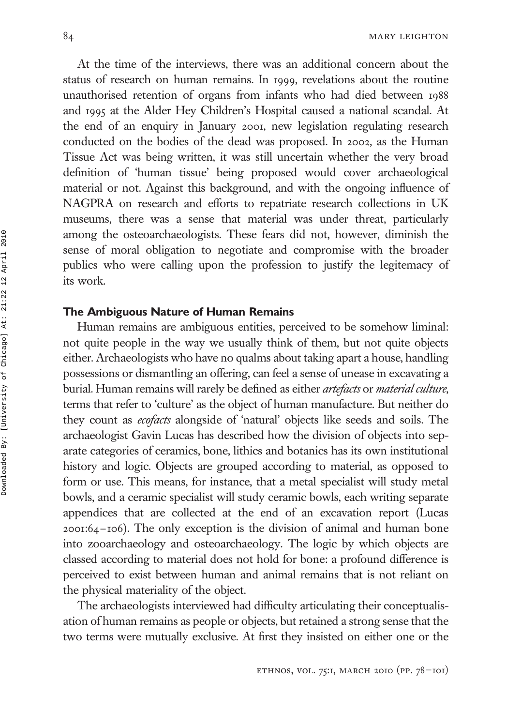84 mary leighton mary leight of the matrix of the matrix  $\mathbb{R}$  mary leight on  $\mathbb{R}$ 

At the time of the interviews, there was an additional concern about the status of research on human remains. In 1999, revelations about the routine unauthorised retention of organs from infants who had died between 1988 and 1995 at the Alder Hey Children's Hospital caused a national scandal. At the end of an enquiry in January 2001, new legislation regulating research conducted on the bodies of the dead was proposed. In 2002, as the Human Tissue Act was being written, it was still uncertain whether the very broad definition of 'human tissue' being proposed would cover archaeological material or not. Against this background, and with the ongoing influence of NAGPRA on research and efforts to repatriate research collections in UK museums, there was a sense that material was under threat, particularly among the osteoarchaeologists. These fears did not, however, diminish the sense of moral obligation to negotiate and compromise with the broader publics who were calling upon the profession to justify the legitemacy of its work.

### The Ambiguous Nature of Human Remains

Human remains are ambiguous entities, perceived to be somehow liminal: not quite people in the way we usually think of them, but not quite objects either. Archaeologists who have no qualms about taking apart a house, handling possessions or dismantling an offering, can feel a sense of unease in excavating a burial. Human remains will rarely be defined as either artefacts or material culture, terms that refer to 'culture' as the object of human manufacture. But neither do they count as *ecofacts* alongside of 'natural' objects like seeds and soils. The archaeologist Gavin Lucas has described how the division of objects into separate categories of ceramics, bone, lithics and botanics has its own institutional history and logic. Objects are grouped according to material, as opposed to form or use. This means, for instance, that a metal specialist will study metal bowls, and a ceramic specialist will study ceramic bowls, each writing separate appendices that are collected at the end of an excavation report (Lucas 2001:64–106). The only exception is the division of animal and human bone into zooarchaeology and osteoarchaeology. The logic by which objects are classed according to material does not hold for bone: a profound difference is perceived to exist between human and animal remains that is not reliant on the physical materiality of the object.

The archaeologists interviewed had difficulty articulating their conceptualisation of human remains as people or objects, but retained a strong sense that the two terms were mutually exclusive. At first they insisted on either one or the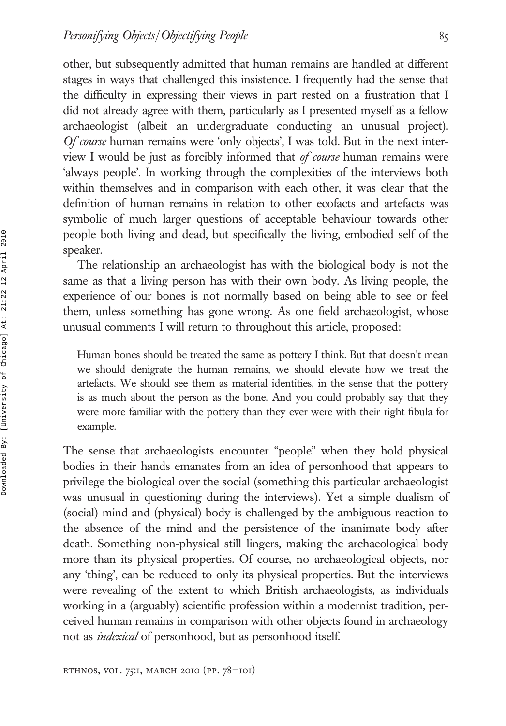other, but subsequently admitted that human remains are handled at different stages in ways that challenged this insistence. I frequently had the sense that the difficulty in expressing their views in part rested on a frustration that I did not already agree with them, particularly as I presented myself as a fellow archaeologist (albeit an undergraduate conducting an unusual project). Of course human remains were 'only objects', I was told. But in the next interview I would be just as forcibly informed that of course human remains were 'always people'. In working through the complexities of the interviews both within themselves and in comparison with each other, it was clear that the definition of human remains in relation to other ecofacts and artefacts was symbolic of much larger questions of acceptable behaviour towards other people both living and dead, but specifically the living, embodied self of the speaker.

The relationship an archaeologist has with the biological body is not the same as that a living person has with their own body. As living people, the experience of our bones is not normally based on being able to see or feel them, unless something has gone wrong. As one field archaeologist, whose unusual comments I will return to throughout this article, proposed:

Human bones should be treated the same as pottery I think. But that doesn't mean we should denigrate the human remains, we should elevate how we treat the artefacts. We should see them as material identities, in the sense that the pottery is as much about the person as the bone. And you could probably say that they were more familiar with the pottery than they ever were with their right fibula for example.

The sense that archaeologists encounter "people" when they hold physical bodies in their hands emanates from an idea of personhood that appears to privilege the biological over the social (something this particular archaeologist was unusual in questioning during the interviews). Yet a simple dualism of (social) mind and (physical) body is challenged by the ambiguous reaction to the absence of the mind and the persistence of the inanimate body after death. Something non-physical still lingers, making the archaeological body more than its physical properties. Of course, no archaeological objects, nor any 'thing', can be reduced to only its physical properties. But the interviews were revealing of the extent to which British archaeologists, as individuals working in a (arguably) scientific profession within a modernist tradition, perceived human remains in comparison with other objects found in archaeology not as *indexical* of personhood, but as personhood itself.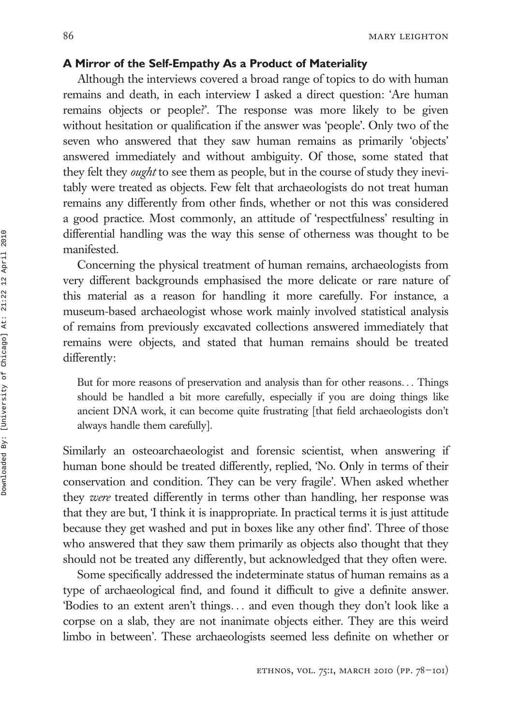86 mary leight of the matrix of the matrix of the matrix of the matrix of the matrix of the matrix of the matrix of the matrix of the matrix of the matrix of the matrix of the matrix of the matrix of the matrix of the matr

## A Mirror of the Self-Empathy As a Product of Materiality

Although the interviews covered a broad range of topics to do with human remains and death, in each interview I asked a direct question: 'Are human remains objects or people?'. The response was more likely to be given without hesitation or qualification if the answer was 'people'. Only two of the seven who answered that they saw human remains as primarily 'objects' answered immediately and without ambiguity. Of those, some stated that they felt they *ought* to see them as people, but in the course of study they inevitably were treated as objects. Few felt that archaeologists do not treat human remains any differently from other finds, whether or not this was considered a good practice. Most commonly, an attitude of 'respectfulness' resulting in differential handling was the way this sense of otherness was thought to be manifested.

Concerning the physical treatment of human remains, archaeologists from very different backgrounds emphasised the more delicate or rare nature of this material as a reason for handling it more carefully. For instance, a museum-based archaeologist whose work mainly involved statistical analysis of remains from previously excavated collections answered immediately that remains were objects, and stated that human remains should be treated differently:

But for more reasons of preservation and analysis than for other reasons... Things should be handled a bit more carefully, especially if you are doing things like ancient DNA work, it can become quite frustrating [that field archaeologists don't always handle them carefully].

Similarly an osteoarchaeologist and forensic scientist, when answering if human bone should be treated differently, replied, 'No. Only in terms of their conservation and condition. They can be very fragile'. When asked whether they were treated differently in terms other than handling, her response was that they are but, 'I think it is inappropriate. In practical terms it is just attitude because they get washed and put in boxes like any other find'. Three of those who answered that they saw them primarily as objects also thought that they should not be treated any differently, but acknowledged that they often were.

Some specifically addressed the indeterminate status of human remains as a type of archaeological find, and found it difficult to give a definite answer. 'Bodies to an extent aren't things... and even though they don't look like a corpse on a slab, they are not inanimate objects either. They are this weird limbo in between'. These archaeologists seemed less definite on whether or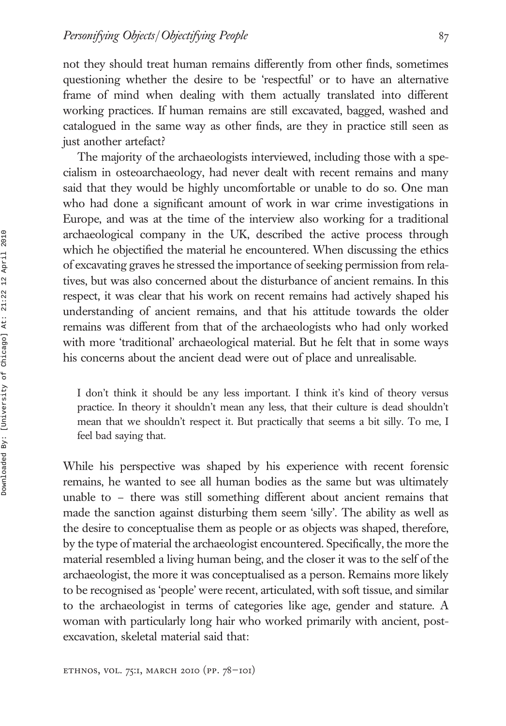not they should treat human remains differently from other finds, sometimes questioning whether the desire to be 'respectful' or to have an alternative frame of mind when dealing with them actually translated into different working practices. If human remains are still excavated, bagged, washed and catalogued in the same way as other finds, are they in practice still seen as just another artefact?

The majority of the archaeologists interviewed, including those with a specialism in osteoarchaeology, had never dealt with recent remains and many said that they would be highly uncomfortable or unable to do so. One man who had done a significant amount of work in war crime investigations in Europe, and was at the time of the interview also working for a traditional archaeological company in the UK, described the active process through which he objectified the material he encountered. When discussing the ethics of excavating graves he stressed the importance of seeking permission from relatives, but was also concerned about the disturbance of ancient remains. In this respect, it was clear that his work on recent remains had actively shaped his understanding of ancient remains, and that his attitude towards the older remains was different from that of the archaeologists who had only worked with more 'traditional' archaeological material. But he felt that in some ways his concerns about the ancient dead were out of place and unrealisable.

I don't think it should be any less important. I think it's kind of theory versus practice. In theory it shouldn't mean any less, that their culture is dead shouldn't mean that we shouldn't respect it. But practically that seems a bit silly. To me, I feel bad saying that.

While his perspective was shaped by his experience with recent forensic remains, he wanted to see all human bodies as the same but was ultimately unable to – there was still something different about ancient remains that made the sanction against disturbing them seem 'silly'. The ability as well as the desire to conceptualise them as people or as objects was shaped, therefore, by the type of material the archaeologist encountered. Specifically, the more the material resembled a living human being, and the closer it was to the self of the archaeologist, the more it was conceptualised as a person. Remains more likely to be recognised as 'people' were recent, articulated, with soft tissue, and similar to the archaeologist in terms of categories like age, gender and stature. A woman with particularly long hair who worked primarily with ancient, postexcavation, skeletal material said that: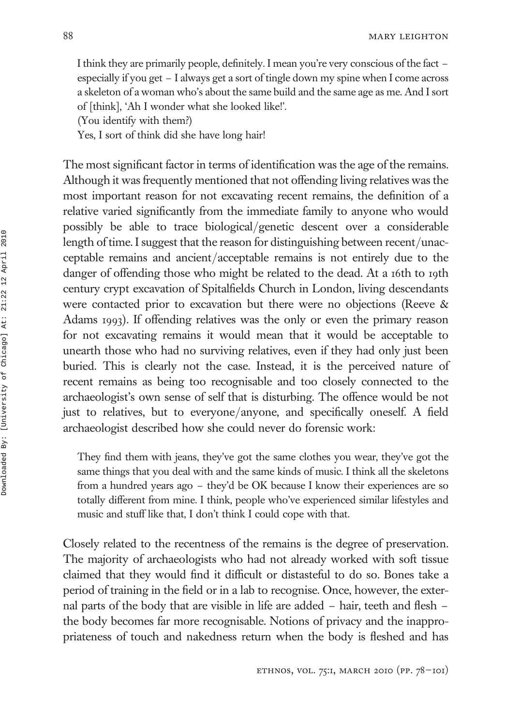88 mary leight of the state of the state of the matrix of the matrix of the matrix of the matrix of the matrix of the matrix of the matrix of the matrix of the matrix of the matrix of the matrix of the matrix of the matrix

I think they are primarily people, definitely. I mean you're very conscious of the fact – especially if you get – I always get a sort of tingle down my spine when I come across a skeleton of a woman who's about the same build and the same age as me. And I sort of [think], 'Ah I wonder what she looked like!'.

(You identify with them?)

Yes, I sort of think did she have long hair!

The most significant factor in terms of identification was the age of the remains. Although it was frequently mentioned that not offending living relatives was the most important reason for not excavating recent remains, the definition of a relative varied significantly from the immediate family to anyone who would possibly be able to trace biological/genetic descent over a considerable length of time. I suggest that the reason for distinguishing between recent/unacceptable remains and ancient/acceptable remains is not entirely due to the danger of offending those who might be related to the dead. At a 16th to 19th century crypt excavation of Spitalfields Church in London, living descendants were contacted prior to excavation but there were no objections (Reeve  $\&$ Adams 1993). If offending relatives was the only or even the primary reason for not excavating remains it would mean that it would be acceptable to unearth those who had no surviving relatives, even if they had only just been buried. This is clearly not the case. Instead, it is the perceived nature of recent remains as being too recognisable and too closely connected to the archaeologist's own sense of self that is disturbing. The offence would be not just to relatives, but to everyone/anyone, and specifically oneself. A field archaeologist described how she could never do forensic work:

They find them with jeans, they've got the same clothes you wear, they've got the same things that you deal with and the same kinds of music. I think all the skeletons from a hundred years ago – they'd be OK because I know their experiences are so totally different from mine. I think, people who've experienced similar lifestyles and music and stuff like that, I don't think I could cope with that.

Closely related to the recentness of the remains is the degree of preservation. The majority of archaeologists who had not already worked with soft tissue claimed that they would find it difficult or distasteful to do so. Bones take a period of training in the field or in a lab to recognise. Once, however, the external parts of the body that are visible in life are added – hair, teeth and flesh – the body becomes far more recognisable. Notions of privacy and the inappropriateness of touch and nakedness return when the body is fleshed and has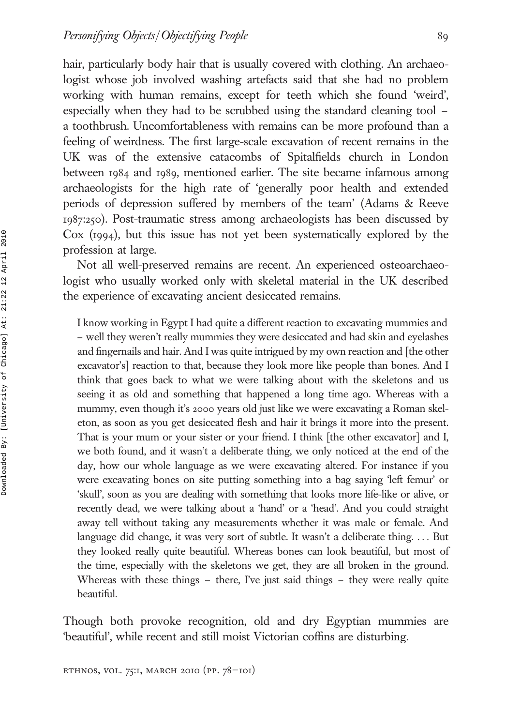hair, particularly body hair that is usually covered with clothing. An archaeologist whose job involved washing artefacts said that she had no problem working with human remains, except for teeth which she found 'weird', especially when they had to be scrubbed using the standard cleaning tool – a toothbrush. Uncomfortableness with remains can be more profound than a feeling of weirdness. The first large-scale excavation of recent remains in the UK was of the extensive catacombs of Spitalfields church in London between 1984 and 1989, mentioned earlier. The site became infamous among archaeologists for the high rate of 'generally poor health and extended periods of depression suffered by members of the team' (Adams & Reeve 1987:250). Post-traumatic stress among archaeologists has been discussed by Cox (1994), but this issue has not yet been systematically explored by the profession at large.

Not all well-preserved remains are recent. An experienced osteoarchaeologist who usually worked only with skeletal material in the UK described the experience of excavating ancient desiccated remains.

I know working in Egypt I had quite a different reaction to excavating mummies and – well they weren't really mummies they were desiccated and had skin and eyelashes and fingernails and hair. And I was quite intrigued by my own reaction and [the other excavator's] reaction to that, because they look more like people than bones. And I think that goes back to what we were talking about with the skeletons and us seeing it as old and something that happened a long time ago. Whereas with a mummy, even though it's 2000 years old just like we were excavating a Roman skeleton, as soon as you get desiccated flesh and hair it brings it more into the present. That is your mum or your sister or your friend. I think [the other excavator] and I, we both found, and it wasn't a deliberate thing, we only noticed at the end of the day, how our whole language as we were excavating altered. For instance if you were excavating bones on site putting something into a bag saying 'left femur' or 'skull', soon as you are dealing with something that looks more life-like or alive, or recently dead, we were talking about a 'hand' or a 'head'. And you could straight away tell without taking any measurements whether it was male or female. And language did change, it was very sort of subtle. It wasn't a deliberate thing. ... But they looked really quite beautiful. Whereas bones can look beautiful, but most of the time, especially with the skeletons we get, they are all broken in the ground. Whereas with these things – there, I've just said things – they were really quite beautiful.

Though both provoke recognition, old and dry Egyptian mummies are 'beautiful', while recent and still moist Victorian coffins are disturbing.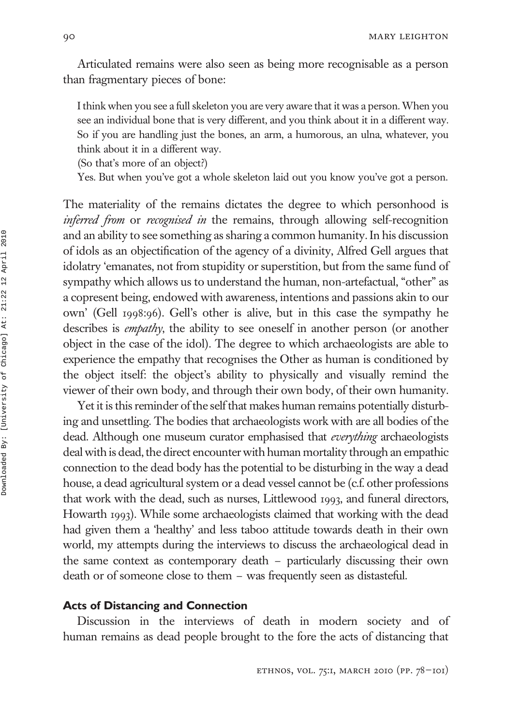Articulated remains were also seen as being more recognisable as a person than fragmentary pieces of bone:

I think when you see a full skeleton you are very aware that it was a person. When you see an individual bone that is very different, and you think about it in a different way. So if you are handling just the bones, an arm, a humorous, an ulna, whatever, you think about it in a different way.

(So that's more of an object?)

Yes. But when you've got a whole skeleton laid out you know you've got a person.

The materiality of the remains dictates the degree to which personhood is inferred from or recognised in the remains, through allowing self-recognition and an ability to see something as sharing a common humanity. In his discussion of idols as an objectification of the agency of a divinity, Alfred Gell argues that idolatry 'emanates, not from stupidity or superstition, but from the same fund of sympathy which allows us to understand the human, non-artefactual, "other" as a copresent being, endowed with awareness, intentions and passions akin to our own' (Gell 1998:96). Gell's other is alive, but in this case the sympathy he describes is empathy, the ability to see oneself in another person (or another object in the case of the idol). The degree to which archaeologists are able to experience the empathy that recognises the Other as human is conditioned by the object itself: the object's ability to physically and visually remind the viewer of their own body, and through their own body, of their own humanity.

Yet it is this reminder of the self that makes human remains potentially disturbing and unsettling. The bodies that archaeologists work with are all bodies of the dead. Although one museum curator emphasised that *everything* archaeologists deal with is dead, the direct encounter with human mortality through an empathic connection to the dead body has the potential to be disturbing in the way a dead house, a dead agricultural system or a dead vessel cannot be (c.f. other professions that work with the dead, such as nurses, Littlewood 1993, and funeral directors, Howarth 1993). While some archaeologists claimed that working with the dead had given them a 'healthy' and less taboo attitude towards death in their own world, my attempts during the interviews to discuss the archaeological dead in the same context as contemporary death – particularly discussing their own death or of someone close to them – was frequently seen as distasteful.

#### Acts of Distancing and Connection

Discussion in the interviews of death in modern society and of human remains as dead people brought to the fore the acts of distancing that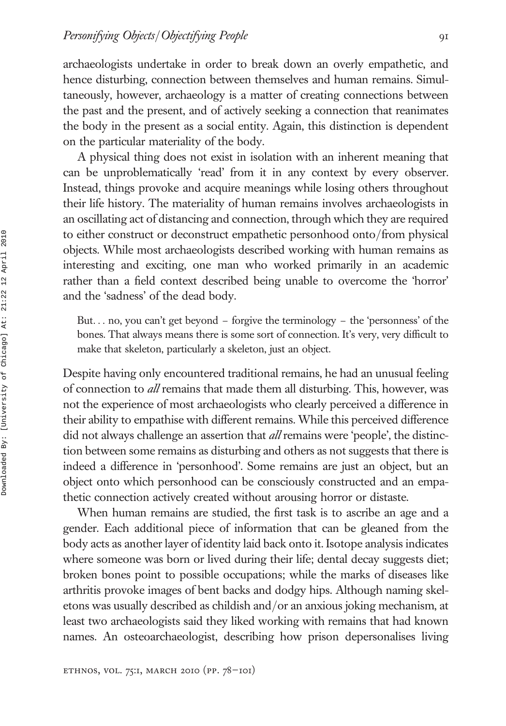archaeologists undertake in order to break down an overly empathetic, and hence disturbing, connection between themselves and human remains. Simultaneously, however, archaeology is a matter of creating connections between the past and the present, and of actively seeking a connection that reanimates the body in the present as a social entity. Again, this distinction is dependent on the particular materiality of the body.

A physical thing does not exist in isolation with an inherent meaning that can be unproblematically 'read' from it in any context by every observer. Instead, things provoke and acquire meanings while losing others throughout their life history. The materiality of human remains involves archaeologists in an oscillating act of distancing and connection, through which they are required to either construct or deconstruct empathetic personhood onto/from physical objects. While most archaeologists described working with human remains as interesting and exciting, one man who worked primarily in an academic rather than a field context described being unable to overcome the 'horror' and the 'sadness' of the dead body.

But... no, you can't get beyond – forgive the terminology – the 'personness' of the bones. That always means there is some sort of connection. It's very, very difficult to make that skeleton, particularly a skeleton, just an object.

Despite having only encountered traditional remains, he had an unusual feeling of connection to all remains that made them all disturbing. This, however, was not the experience of most archaeologists who clearly perceived a difference in their ability to empathise with different remains. While this perceived difference did not always challenge an assertion that *all* remains were 'people', the distinction between some remains as disturbing and others as not suggests that there is indeed a difference in 'personhood'. Some remains are just an object, but an object onto which personhood can be consciously constructed and an empathetic connection actively created without arousing horror or distaste.

When human remains are studied, the first task is to ascribe an age and a gender. Each additional piece of information that can be gleaned from the body acts as another layer of identity laid back onto it. Isotope analysis indicates where someone was born or lived during their life; dental decay suggests diet; broken bones point to possible occupations; while the marks of diseases like arthritis provoke images of bent backs and dodgy hips. Although naming skeletons was usually described as childish and/or an anxious joking mechanism, at least two archaeologists said they liked working with remains that had known names. An osteoarchaeologist, describing how prison depersonalises living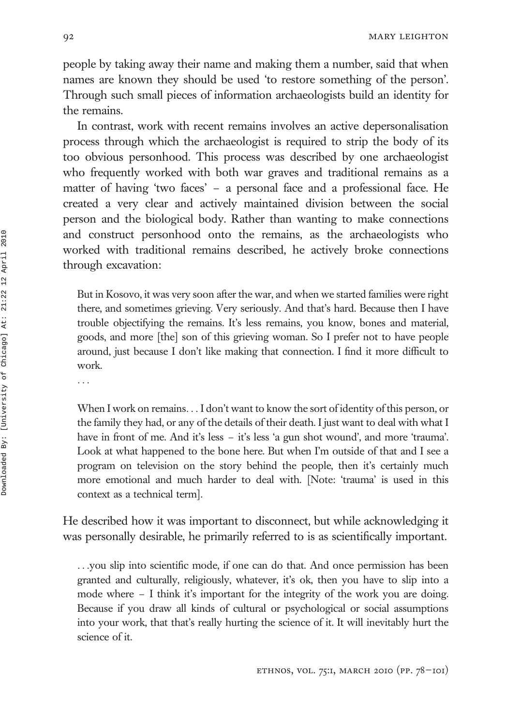92 mary leighton market with the matrix of the matrix  $\mathbf{MARY}$  LEIGHTON

people by taking away their name and making them a number, said that when names are known they should be used 'to restore something of the person'. Through such small pieces of information archaeologists build an identity for the remains.

In contrast, work with recent remains involves an active depersonalisation process through which the archaeologist is required to strip the body of its too obvious personhood. This process was described by one archaeologist who frequently worked with both war graves and traditional remains as a matter of having 'two faces' – a personal face and a professional face. He created a very clear and actively maintained division between the social person and the biological body. Rather than wanting to make connections and construct personhood onto the remains, as the archaeologists who worked with traditional remains described, he actively broke connections through excavation:

But in Kosovo, it was very soon after the war, and when we started families were right there, and sometimes grieving. Very seriously. And that's hard. Because then I have trouble objectifying the remains. It's less remains, you know, bones and material, goods, and more [the] son of this grieving woman. So I prefer not to have people around, just because I don't like making that connection. I find it more difficult to work.

...

When I work on remains... I don't want to know the sort of identity of this person, or the family they had, or any of the details of their death. I just want to deal with what I have in front of me. And it's less – it's less 'a gun shot wound', and more 'trauma'. Look at what happened to the bone here. But when I'm outside of that and I see a program on television on the story behind the people, then it's certainly much more emotional and much harder to deal with. [Note: 'trauma' is used in this context as a technical term].

He described how it was important to disconnect, but while acknowledging it was personally desirable, he primarily referred to is as scientifically important.

...you slip into scientific mode, if one can do that. And once permission has been granted and culturally, religiously, whatever, it's ok, then you have to slip into a mode where – I think it's important for the integrity of the work you are doing. Because if you draw all kinds of cultural or psychological or social assumptions into your work, that that's really hurting the science of it. It will inevitably hurt the science of it.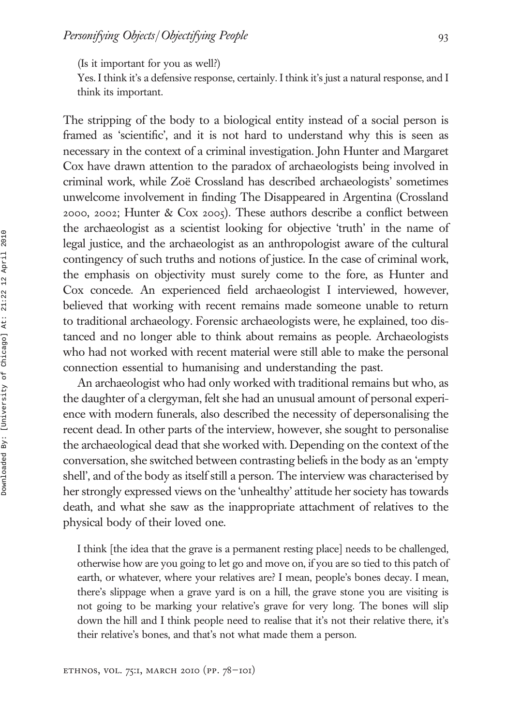# Personifying Objects/Objectifying People 93

(Is it important for you as well?)

Yes. I think it's a defensive response, certainly. I think it's just a natural response, and I think its important.

The stripping of the body to a biological entity instead of a social person is framed as 'scientific', and it is not hard to understand why this is seen as necessary in the context of a criminal investigation. John Hunter and Margaret Cox have drawn attention to the paradox of archaeologists being involved in criminal work, while Zoe¨ Crossland has described archaeologists' sometimes unwelcome involvement in finding The Disappeared in Argentina (Crossland 2000, 2002; Hunter & Cox 2005). These authors describe a conflict between the archaeologist as a scientist looking for objective 'truth' in the name of legal justice, and the archaeologist as an anthropologist aware of the cultural contingency of such truths and notions of justice. In the case of criminal work, the emphasis on objectivity must surely come to the fore, as Hunter and Cox concede. An experienced field archaeologist I interviewed, however, believed that working with recent remains made someone unable to return to traditional archaeology. Forensic archaeologists were, he explained, too distanced and no longer able to think about remains as people. Archaeologists who had not worked with recent material were still able to make the personal connection essential to humanising and understanding the past.

An archaeologist who had only worked with traditional remains but who, as the daughter of a clergyman, felt she had an unusual amount of personal experience with modern funerals, also described the necessity of depersonalising the recent dead. In other parts of the interview, however, she sought to personalise the archaeological dead that she worked with. Depending on the context of the conversation, she switched between contrasting beliefs in the body as an 'empty shell', and of the body as itself still a person. The interview was characterised by her strongly expressed views on the 'unhealthy' attitude her society has towards death, and what she saw as the inappropriate attachment of relatives to the physical body of their loved one.

I think [the idea that the grave is a permanent resting place] needs to be challenged, otherwise how are you going to let go and move on, if you are so tied to this patch of earth, or whatever, where your relatives are? I mean, people's bones decay. I mean, there's slippage when a grave yard is on a hill, the grave stone you are visiting is not going to be marking your relative's grave for very long. The bones will slip down the hill and I think people need to realise that it's not their relative there, it's their relative's bones, and that's not what made them a person.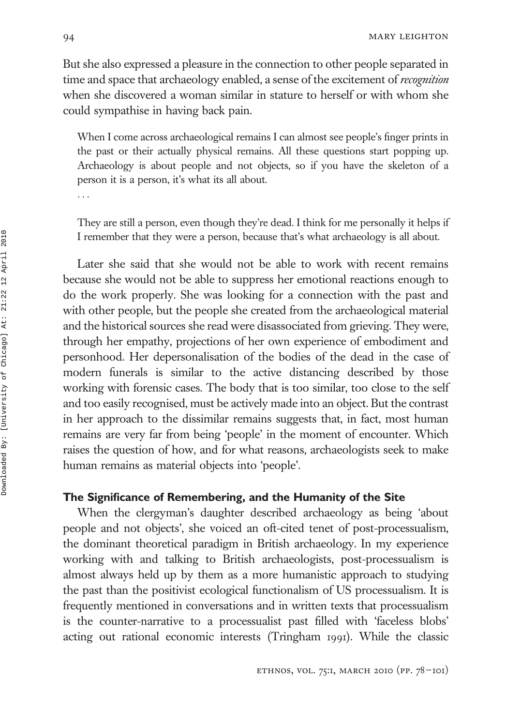94 mary leighton market when the matrix of the matrix  $\mathbf{M}$  market leight on  $\mathbf{M}$ 

But she also expressed a pleasure in the connection to other people separated in time and space that archaeology enabled, a sense of the excitement of *recognition* when she discovered a woman similar in stature to herself or with whom she could sympathise in having back pain.

When I come across archaeological remains I can almost see people's finger prints in the past or their actually physical remains. All these questions start popping up. Archaeology is about people and not objects, so if you have the skeleton of a person it is a person, it's what its all about. ...

They are still a person, even though they're dead. I think for me personally it helps if I remember that they were a person, because that's what archaeology is all about.

Later she said that she would not be able to work with recent remains because she would not be able to suppress her emotional reactions enough to do the work properly. She was looking for a connection with the past and with other people, but the people she created from the archaeological material and the historical sources she read were disassociated from grieving. They were, through her empathy, projections of her own experience of embodiment and personhood. Her depersonalisation of the bodies of the dead in the case of modern funerals is similar to the active distancing described by those working with forensic cases. The body that is too similar, too close to the self and too easily recognised, must be actively made into an object. But the contrast in her approach to the dissimilar remains suggests that, in fact, most human remains are very far from being 'people' in the moment of encounter. Which raises the question of how, and for what reasons, archaeologists seek to make human remains as material objects into 'people'.

## The Significance of Remembering, and the Humanity of the Site

When the clergyman's daughter described archaeology as being 'about people and not objects', she voiced an oft-cited tenet of post-processualism, the dominant theoretical paradigm in British archaeology. In my experience working with and talking to British archaeologists, post-processualism is almost always held up by them as a more humanistic approach to studying the past than the positivist ecological functionalism of US processualism. It is frequently mentioned in conversations and in written texts that processualism is the counter-narrative to a processualist past filled with 'faceless blobs' acting out rational economic interests (Tringham 1991). While the classic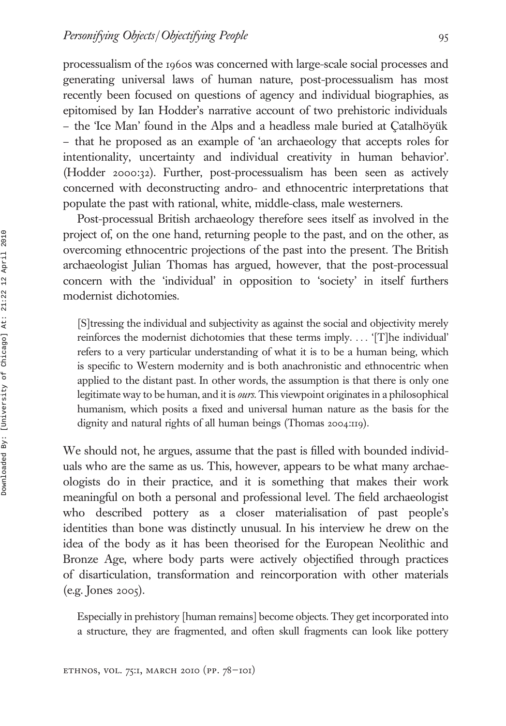processualism of the 1960s was concerned with large-scale social processes and generating universal laws of human nature, post-processualism has most recently been focused on questions of agency and individual biographies, as epitomised by Ian Hodder's narrative account of two prehistoric individuals  $-$  the 'Ice Man' found in the Alps and a headless male buried at Catalhovük – that he proposed as an example of 'an archaeology that accepts roles for intentionality, uncertainty and individual creativity in human behavior'. (Hodder 2000:32). Further, post-processualism has been seen as actively concerned with deconstructing andro- and ethnocentric interpretations that populate the past with rational, white, middle-class, male westerners.

Post-processual British archaeology therefore sees itself as involved in the project of, on the one hand, returning people to the past, and on the other, as overcoming ethnocentric projections of the past into the present. The British archaeologist Julian Thomas has argued, however, that the post-processual concern with the 'individual' in opposition to 'society' in itself furthers modernist dichotomies.

[S]tressing the individual and subjectivity as against the social and objectivity merely reinforces the modernist dichotomies that these terms imply. ... '[T]he individual' refers to a very particular understanding of what it is to be a human being, which is specific to Western modernity and is both anachronistic and ethnocentric when applied to the distant past. In other words, the assumption is that there is only one legitimate way to be human, and it is ours. This viewpoint originates in a philosophical humanism, which posits a fixed and universal human nature as the basis for the dignity and natural rights of all human beings (Thomas 2004:119).

We should not, he argues, assume that the past is filled with bounded individuals who are the same as us. This, however, appears to be what many archaeologists do in their practice, and it is something that makes their work meaningful on both a personal and professional level. The field archaeologist who described pottery as a closer materialisation of past people's identities than bone was distinctly unusual. In his interview he drew on the idea of the body as it has been theorised for the European Neolithic and Bronze Age, where body parts were actively objectified through practices of disarticulation, transformation and reincorporation with other materials  $(e.g.$  Jones 2005).

Especially in prehistory [human remains] become objects. They get incorporated into a structure, they are fragmented, and often skull fragments can look like pottery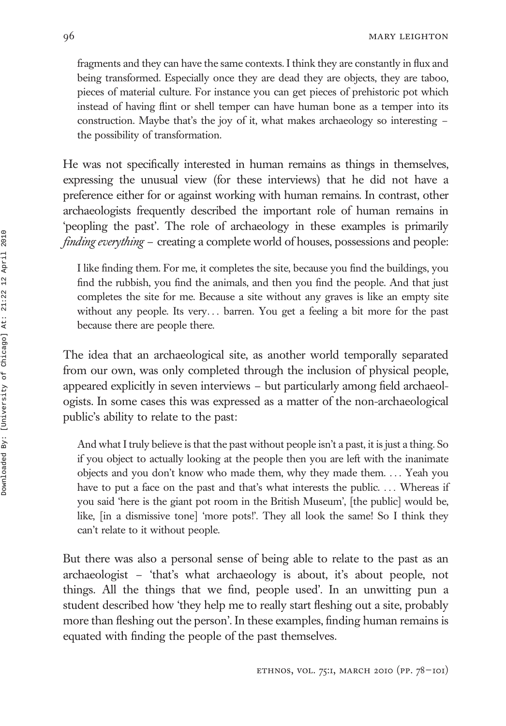fragments and they can have the same contexts. I think they are constantly in flux and being transformed. Especially once they are dead they are objects, they are taboo, pieces of material culture. For instance you can get pieces of prehistoric pot which instead of having flint or shell temper can have human bone as a temper into its construction. Maybe that's the joy of it, what makes archaeology so interesting – the possibility of transformation.

He was not specifically interested in human remains as things in themselves, expressing the unusual view (for these interviews) that he did not have a preference either for or against working with human remains. In contrast, other archaeologists frequently described the important role of human remains in 'peopling the past'. The role of archaeology in these examples is primarily finding everything – creating a complete world of houses, possessions and people:

I like finding them. For me, it completes the site, because you find the buildings, you find the rubbish, you find the animals, and then you find the people. And that just completes the site for me. Because a site without any graves is like an empty site without any people. Its very... barren. You get a feeling a bit more for the past because there are people there.

The idea that an archaeological site, as another world temporally separated from our own, was only completed through the inclusion of physical people, appeared explicitly in seven interviews – but particularly among field archaeologists. In some cases this was expressed as a matter of the non-archaeological public's ability to relate to the past:

And what I truly believe is that the past without people isn't a past, it is just a thing. So if you object to actually looking at the people then you are left with the inanimate objects and you don't know who made them, why they made them. ... Yeah you have to put a face on the past and that's what interests the public. ... Whereas if you said 'here is the giant pot room in the British Museum', [the public] would be, like, [in a dismissive tone] 'more pots!'. They all look the same! So I think they can't relate to it without people.

But there was also a personal sense of being able to relate to the past as an archaeologist – 'that's what archaeology is about, it's about people, not things. All the things that we find, people used'. In an unwitting pun a student described how 'they help me to really start fleshing out a site, probably more than fleshing out the person'. In these examples, finding human remains is equated with finding the people of the past themselves.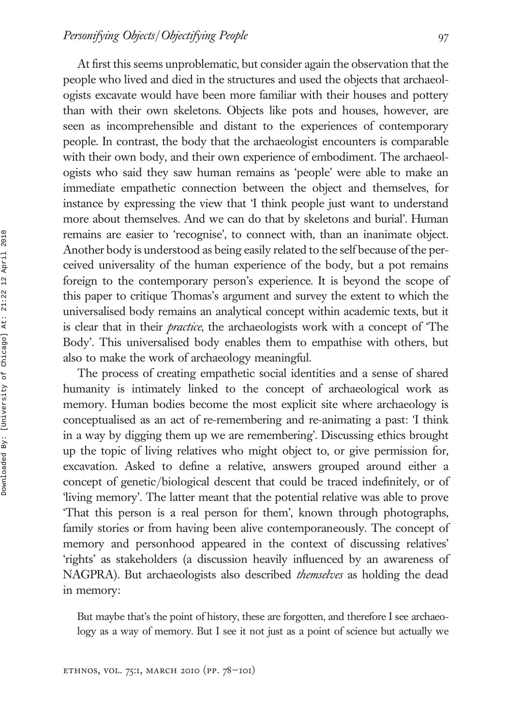# Personifying Objects/Objectifying People 97

At first this seems unproblematic, but consider again the observation that the people who lived and died in the structures and used the objects that archaeologists excavate would have been more familiar with their houses and pottery than with their own skeletons. Objects like pots and houses, however, are seen as incomprehensible and distant to the experiences of contemporary people. In contrast, the body that the archaeologist encounters is comparable with their own body, and their own experience of embodiment. The archaeologists who said they saw human remains as 'people' were able to make an immediate empathetic connection between the object and themselves, for instance by expressing the view that 'I think people just want to understand more about themselves. And we can do that by skeletons and burial'. Human remains are easier to 'recognise', to connect with, than an inanimate object. Another body is understood as being easily related to the self because of the perceived universality of the human experience of the body, but a pot remains foreign to the contemporary person's experience. It is beyond the scope of this paper to critique Thomas's argument and survey the extent to which the universalised body remains an analytical concept within academic texts, but it is clear that in their *practice*, the archaeologists work with a concept of 'The Body'. This universalised body enables them to empathise with others, but also to make the work of archaeology meaningful.

The process of creating empathetic social identities and a sense of shared humanity is intimately linked to the concept of archaeological work as memory. Human bodies become the most explicit site where archaeology is conceptualised as an act of re-remembering and re-animating a past: 'I think in a way by digging them up we are remembering'. Discussing ethics brought up the topic of living relatives who might object to, or give permission for, excavation. Asked to define a relative, answers grouped around either a concept of genetic/biological descent that could be traced indefinitely, or of 'living memory'. The latter meant that the potential relative was able to prove 'That this person is a real person for them', known through photographs, family stories or from having been alive contemporaneously. The concept of memory and personhood appeared in the context of discussing relatives' 'rights' as stakeholders (a discussion heavily influenced by an awareness of NAGPRA). But archaeologists also described *themselves* as holding the dead in memory:

But maybe that's the point of history, these are forgotten, and therefore I see archaeology as a way of memory. But I see it not just as a point of science but actually we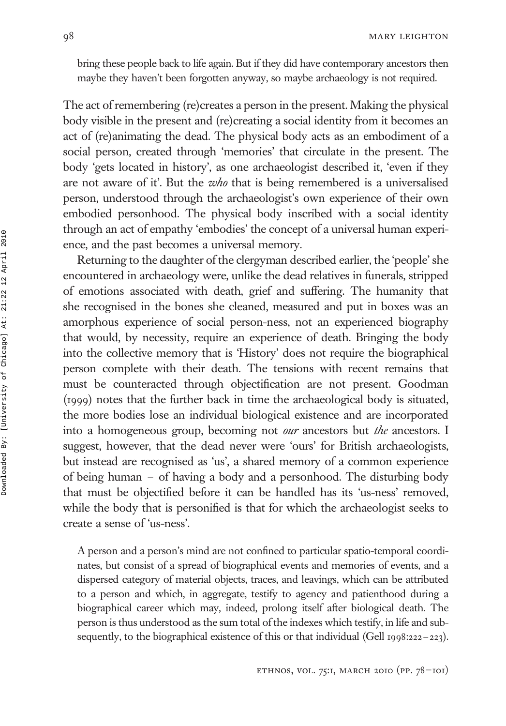98 mary leight of the matrix of the matrix of the matrix  $\sim$  MARY LEIGHTON

bring these people back to life again. But if they did have contemporary ancestors then maybe they haven't been forgotten anyway, so maybe archaeology is not required.

The act of remembering (re)creates a person in the present. Making the physical body visible in the present and (re)creating a social identity from it becomes an act of (re)animating the dead. The physical body acts as an embodiment of a social person, created through 'memories' that circulate in the present. The body 'gets located in history', as one archaeologist described it, 'even if they are not aware of it'. But the *who* that is being remembered is a universalised person, understood through the archaeologist's own experience of their own embodied personhood. The physical body inscribed with a social identity through an act of empathy 'embodies' the concept of a universal human experience, and the past becomes a universal memory.

Returning to the daughter of the clergyman described earlier, the 'people' she encountered in archaeology were, unlike the dead relatives in funerals, stripped of emotions associated with death, grief and suffering. The humanity that she recognised in the bones she cleaned, measured and put in boxes was an amorphous experience of social person-ness, not an experienced biography that would, by necessity, require an experience of death. Bringing the body into the collective memory that is 'History' does not require the biographical person complete with their death. The tensions with recent remains that must be counteracted through objectification are not present. Goodman (1999) notes that the further back in time the archaeological body is situated, the more bodies lose an individual biological existence and are incorporated into a homogeneous group, becoming not *our* ancestors but *the* ancestors. I suggest, however, that the dead never were 'ours' for British archaeologists, but instead are recognised as 'us', a shared memory of a common experience of being human – of having a body and a personhood. The disturbing body that must be objectified before it can be handled has its 'us-ness' removed, while the body that is personified is that for which the archaeologist seeks to create a sense of 'us-ness'.

A person and a person's mind are not confined to particular spatio-temporal coordinates, but consist of a spread of biographical events and memories of events, and a dispersed category of material objects, traces, and leavings, which can be attributed to a person and which, in aggregate, testify to agency and patienthood during a biographical career which may, indeed, prolong itself after biological death. The person is thus understood as the sum total of the indexes which testify, in life and subsequently, to the biographical existence of this or that individual (Gell 1998:222–223).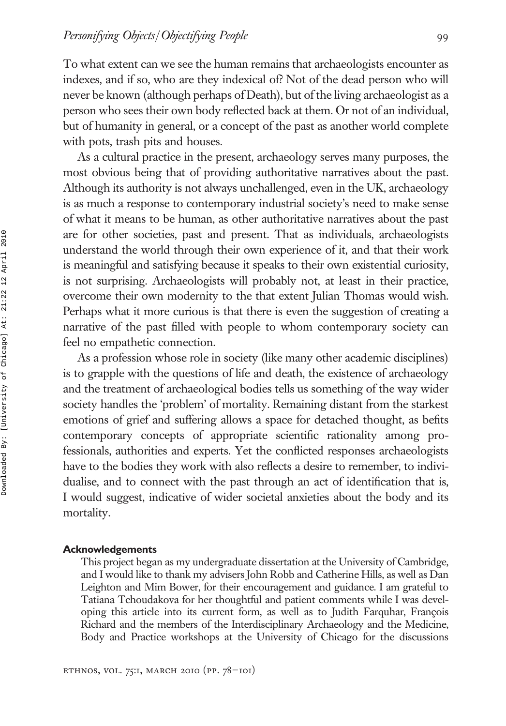## Personifying Objects/Objectifying People 99

To what extent can we see the human remains that archaeologists encounter as indexes, and if so, who are they indexical of? Not of the dead person who will never be known (although perhaps of Death), but of the living archaeologist as a person who sees their own body reflected back at them. Or not of an individual, but of humanity in general, or a concept of the past as another world complete with pots, trash pits and houses.

As a cultural practice in the present, archaeology serves many purposes, the most obvious being that of providing authoritative narratives about the past. Although its authority is not always unchallenged, even in the UK, archaeology is as much a response to contemporary industrial society's need to make sense of what it means to be human, as other authoritative narratives about the past are for other societies, past and present. That as individuals, archaeologists understand the world through their own experience of it, and that their work is meaningful and satisfying because it speaks to their own existential curiosity, is not surprising. Archaeologists will probably not, at least in their practice, overcome their own modernity to the that extent Julian Thomas would wish. Perhaps what it more curious is that there is even the suggestion of creating a narrative of the past filled with people to whom contemporary society can feel no empathetic connection.

As a profession whose role in society (like many other academic disciplines) is to grapple with the questions of life and death, the existence of archaeology and the treatment of archaeological bodies tells us something of the way wider society handles the 'problem' of mortality. Remaining distant from the starkest emotions of grief and suffering allows a space for detached thought, as befits contemporary concepts of appropriate scientific rationality among professionals, authorities and experts. Yet the conflicted responses archaeologists have to the bodies they work with also reflects a desire to remember, to individualise, and to connect with the past through an act of identification that is, I would suggest, indicative of wider societal anxieties about the body and its mortality.

#### Acknowledgements

This project began as my undergraduate dissertation at the University of Cambridge, and I would like to thank my advisers John Robb and Catherine Hills, as well as Dan Leighton and Mim Bower, for their encouragement and guidance. I am grateful to Tatiana Tchoudakova for her thoughtful and patient comments while I was developing this article into its current form, as well as to Judith Farquhar, François Richard and the members of the Interdisciplinary Archaeology and the Medicine, Body and Practice workshops at the University of Chicago for the discussions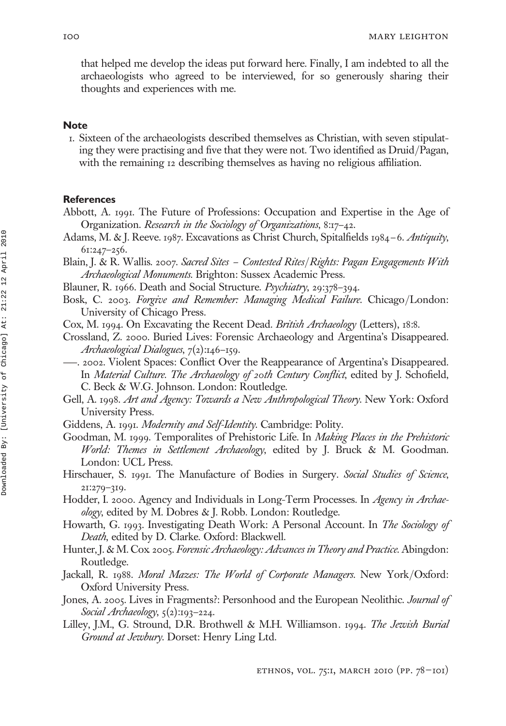that helped me develop the ideas put forward here. Finally, I am indebted to all the archaeologists who agreed to be interviewed, for so generously sharing their thoughts and experiences with me.

#### **Note**

1. Sixteen of the archaeologists described themselves as Christian, with seven stipulating they were practising and five that they were not. Two identified as Druid/Pagan, with the remaining 12 describing themselves as having no religious affiliation.

#### **References**

- Abbott, A. 1991. The Future of Professions: Occupation and Expertise in the Age of Organization. Research in the Sociology of Organizations, 8:17–42.
- Adams, M. & J. Reeve. 1987. Excavations as Christ Church, Spitalfields 1984–6. Antiquity, 61:247–256.
- Blain, J. & R. Wallis. 2007. Sacred Sites Contested Rites/Rights: Pagan Engagements With Archaeological Monuments. Brighton: Sussex Academic Press.
- Blauner, R. 1966. Death and Social Structure. Psychiatry, 29:378–394.
- Bosk, C. 2003. Forgive and Remember: Managing Medical Failure. Chicago/London: University of Chicago Press.
- Cox, M. 1994. On Excavating the Recent Dead. British Archaeology (Letters), 18:8.
- Crossland, Z. 2000. Buried Lives: Forensic Archaeology and Argentina's Disappeared. Archaeological Dialogues, 7(2):146–159.
- ——. 2002. Violent Spaces: Conflict Over the Reappearance of Argentina's Disappeared. In *Material Culture. The Archaeology of 20th Century Conflict*, edited by J. Schofield, C. Beck & W.G. Johnson. London: Routledge.
- Gell, A. 1998. Art and Agency: Towards a New Anthropological Theory. New York: Oxford University Press.
- Giddens, A. 1991. Modernity and Self-Identity. Cambridge: Polity.
- Goodman, M. 1999. Temporalites of Prehistoric Life. In *Making Places in the Prehistoric* World: Themes in Settlement Archaeology, edited by J. Bruck & M. Goodman. London: UCL Press.
- Hirschauer, S. 1991. The Manufacture of Bodies in Surgery. Social Studies of Science, 21:279–319.
- Hodder, I. 2000. Agency and Individuals in Long-Term Processes. In Agency in Archaeology, edited by M. Dobres & J. Robb. London: Routledge.
- Howarth, G. 1993. Investigating Death Work: A Personal Account. In The Sociology of Death, edited by D. Clarke. Oxford: Blackwell.
- Hunter, J. & M. Cox. 2005. Forensic Archaeology: Advances in Theory and Practice. Abingdon: Routledge.
- Jackall, R. 1988. Moral Mazes: The World of Corporate Managers. New York/Oxford: Oxford University Press.
- Jones, A. 2005. Lives in Fragments?: Personhood and the European Neolithic. Journal of Social Archaeology, 5(2):193-224.
- Lilley, J.M., G. Stround, D.R. Brothwell & M.H. Williamson. 1994. The Jewish Burial Ground at Jewbury. Dorset: Henry Ling Ltd.

2010